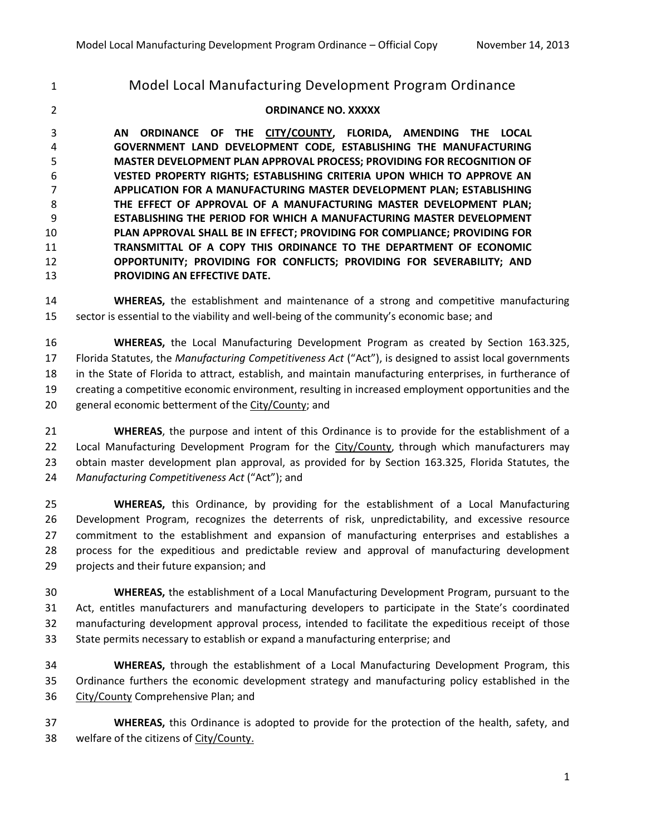# Model Local Manufacturing Development Program Ordinance

### **ORDINANCE NO. XXXXX**

 **AN ORDINANCE OF THE CITY/COUNTY, FLORIDA, AMENDING THE LOCAL GOVERNMENT LAND DEVELOPMENT CODE, ESTABLISHING THE MANUFACTURING MASTER DEVELOPMENT PLAN APPROVAL PROCESS; PROVIDING FOR RECOGNITION OF VESTED PROPERTY RIGHTS; ESTABLISHING CRITERIA UPON WHICH TO APPROVE AN APPLICATION FOR A MANUFACTURING MASTER DEVELOPMENT PLAN; ESTABLISHING THE EFFECT OF APPROVAL OF A MANUFACTURING MASTER DEVELOPMENT PLAN; ESTABLISHING THE PERIOD FOR WHICH A MANUFACTURING MASTER DEVELOPMENT PLAN APPROVAL SHALL BE IN EFFECT; PROVIDING FOR COMPLIANCE; PROVIDING FOR TRANSMITTAL OF A COPY THIS ORDINANCE TO THE DEPARTMENT OF ECONOMIC OPPORTUNITY; PROVIDING FOR CONFLICTS; PROVIDING FOR SEVERABILITY; AND PROVIDING AN EFFECTIVE DATE.**

 **WHEREAS,** the establishment and maintenance of a strong and competitive manufacturing sector is essential to the viability and well-being of the community's economic base; and

 **WHEREAS,** the Local Manufacturing Development Program as created by Section 163.325, Florida Statutes, the *Manufacturing Competitiveness Act* ("Act"), is designed to assist local governments in the State of Florida to attract, establish, and maintain manufacturing enterprises, in furtherance of creating a competitive economic environment, resulting in increased employment opportunities and the general economic betterment of the City/County; and

 **WHEREAS**, the purpose and intent of this Ordinance is to provide for the establishment of a 22 Local Manufacturing Development Program for the City/County, through which manufacturers may obtain master development plan approval, as provided for by Section 163.325, Florida Statutes, the *Manufacturing Competitiveness Act* ("Act"); and

 **WHEREAS,** this Ordinance, by providing for the establishment of a Local Manufacturing Development Program, recognizes the deterrents of risk, unpredictability, and excessive resource commitment to the establishment and expansion of manufacturing enterprises and establishes a process for the expeditious and predictable review and approval of manufacturing development projects and their future expansion; and

 **WHEREAS,** the establishment of a Local Manufacturing Development Program, pursuant to the Act, entitles manufacturers and manufacturing developers to participate in the State's coordinated manufacturing development approval process, intended to facilitate the expeditious receipt of those State permits necessary to establish or expand a manufacturing enterprise; and

 **WHEREAS,** through the establishment of a Local Manufacturing Development Program, this Ordinance furthers the economic development strategy and manufacturing policy established in the 36 City/County Comprehensive Plan; and

 **WHEREAS,** this Ordinance is adopted to provide for the protection of the health, safety, and welfare of the citizens of City/County.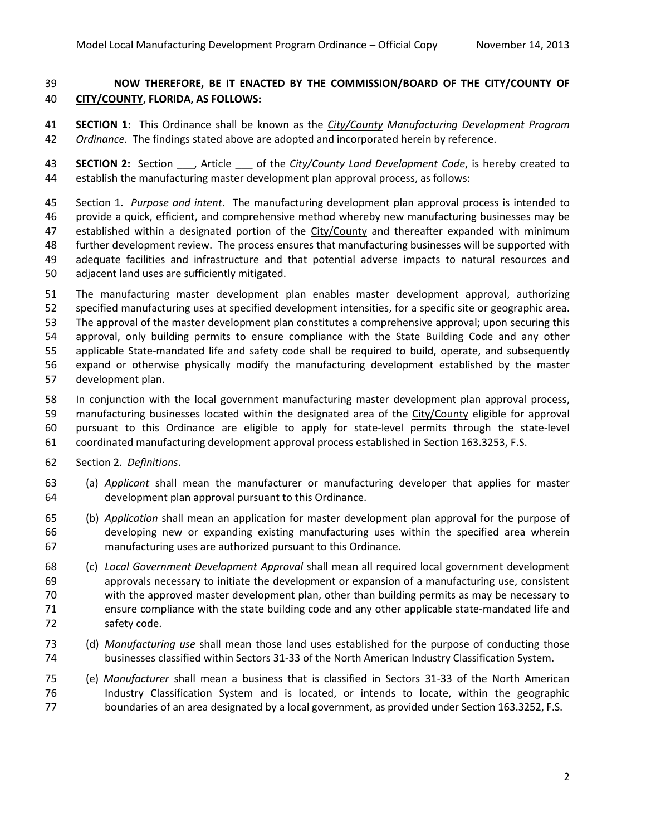## **NOW THEREFORE, BE IT ENACTED BY THE COMMISSION/BOARD OF THE CITY/COUNTY OF CITY/COUNTY, FLORIDA, AS FOLLOWS:**

 **SECTION 1:** This Ordinance shall be known as the *City/County Manufacturing Development Program Ordinance*. The findings stated above are adopted and incorporated herein by reference.

 **SECTION 2:** Section \_\_\_, Article \_\_\_ of the *City/County Land Development Code*, is hereby created to establish the manufacturing master development plan approval process, as follows:

 Section 1. *Purpose and intent*. The manufacturing development plan approval process is intended to provide a quick, efficient, and comprehensive method whereby new manufacturing businesses may be established within a designated portion of the City/County and thereafter expanded with minimum further development review. The process ensures that manufacturing businesses will be supported with adequate facilities and infrastructure and that potential adverse impacts to natural resources and adjacent land uses are sufficiently mitigated.

- The manufacturing master development plan enables master development approval, authorizing specified manufacturing uses at specified development intensities, for a specific site or geographic area. The approval of the master development plan constitutes a comprehensive approval; upon securing this approval, only building permits to ensure compliance with the State Building Code and any other applicable State-mandated life and safety code shall be required to build, operate, and subsequently expand or otherwise physically modify the manufacturing development established by the master development plan.
- In conjunction with the local government manufacturing master development plan approval process, manufacturing businesses located within the designated area of the City/County eligible for approval pursuant to this Ordinance are eligible to apply for state-level permits through the state-level coordinated manufacturing development approval process established in Section 163.3253, F.S.
- Section 2. *Definitions*.
- (a) *Applicant* shall mean the manufacturer or manufacturing developer that applies for master development plan approval pursuant to this Ordinance.
- (b) *Application* shall mean an application for master development plan approval for the purpose of developing new or expanding existing manufacturing uses within the specified area wherein manufacturing uses are authorized pursuant to this Ordinance.
- (c) *Local Government Development Approval* shall mean all required local government development approvals necessary to initiate the development or expansion of a manufacturing use, consistent with the approved master development plan, other than building permits as may be necessary to ensure compliance with the state building code and any other applicable state-mandated life and safety code.
- (d) *Manufacturing use* shall mean those land uses established for the purpose of conducting those businesses classified within Sectors 31-33 of the North American Industry Classification System.
- (e) *Manufacturer* shall mean a business that is classified in Sectors 31-33 of the North American Industry Classification System and is located, or intends to locate, within the geographic 77 boundaries of an area designated by a local government, as provided under Section 163.3252, F.S.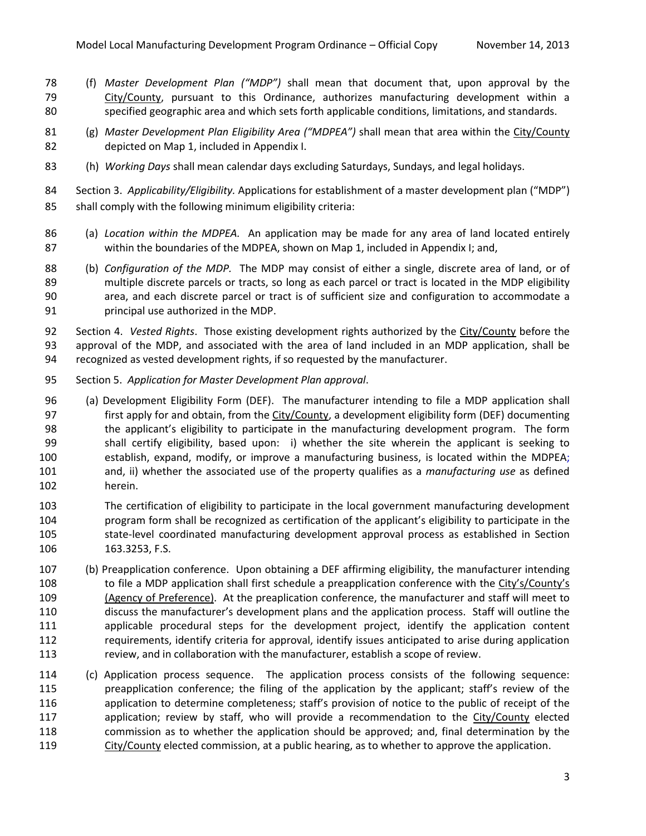- (f) *Master Development Plan ("MDP")* shall mean that document that, upon approval by the 79 City/County, pursuant to this Ordinance, authorizes manufacturing development within a specified geographic area and which sets forth applicable conditions, limitations, and standards.
- (g) *Master Development Plan Eligibility Area ("MDPEA")* shall mean that area within the City/County depicted on Map 1, included in Appendix I.
- (h) *Working Days* shall mean calendar days excluding Saturdays, Sundays, and legal holidays.
- Section 3. *Applicability/Eligibility.* Applications for establishment of a master development plan ("MDP") shall comply with the following minimum eligibility criteria:
- (a) *Location within the MDPEA.* An application may be made for any area of land located entirely within the boundaries of the MDPEA, shown on Map 1, included in Appendix I; and,
- (b) *Configuration of the MDP.* The MDP may consist of either a single, discrete area of land, or of multiple discrete parcels or tracts, so long as each parcel or tract is located in the MDP eligibility area, and each discrete parcel or tract is of sufficient size and configuration to accommodate a principal use authorized in the MDP.
- Section 4. *Vested Rights*. Those existing development rights authorized by the City/County before the approval of the MDP, and associated with the area of land included in an MDP application, shall be recognized as vested development rights, if so requested by the manufacturer.
- Section 5. *Application for Master Development Plan approval*.
- (a) Development Eligibility Form (DEF). The manufacturer intending to file a MDP application shall 97 first apply for and obtain, from the City/County, a development eligibility form (DEF) documenting the applicant's eligibility to participate in the manufacturing development program. The form shall certify eligibility, based upon: i) whether the site wherein the applicant is seeking to establish, expand, modify, or improve a manufacturing business, is located within the MDPEA; and, ii) whether the associated use of the property qualifies as a *manufacturing use* as defined herein.
- The certification of eligibility to participate in the local government manufacturing development program form shall be recognized as certification of the applicant's eligibility to participate in the state-level coordinated manufacturing development approval process as established in Section 106 163.3253, F.S.
- (b) Preapplication conference. Upon obtaining a DEF affirming eligibility, the manufacturer intending 108 to file a MDP application shall first schedule a preapplication conference with the City's/County's 109 (Agency of Preference). At the preaplication conference, the manufacturer and staff will meet to discuss the manufacturer's development plans and the application process. Staff will outline the applicable procedural steps for the development project, identify the application content requirements, identify criteria for approval, identify issues anticipated to arise during application review, and in collaboration with the manufacturer, establish a scope of review.
- (c) Application process sequence. The application process consists of the following sequence: preapplication conference; the filing of the application by the applicant; staff's review of the application to determine completeness; staff's provision of notice to the public of receipt of the 117 application; review by staff, who will provide a recommendation to the City/County elected commission as to whether the application should be approved; and, final determination by the 119 City/County elected commission, at a public hearing, as to whether to approve the application.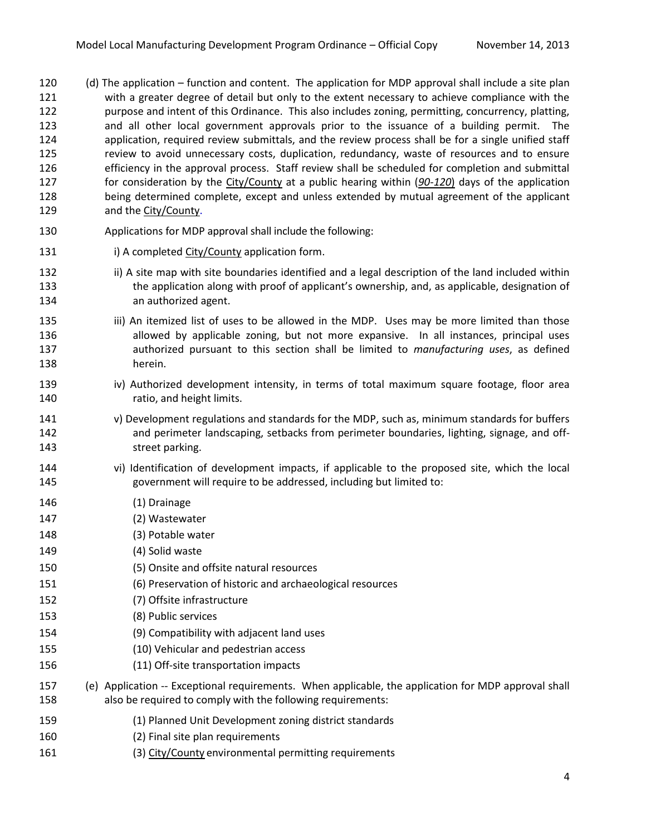- (d) The application function and content. The application for MDP approval shall include a site plan with a greater degree of detail but only to the extent necessary to achieve compliance with the purpose and intent of this Ordinance. This also includes zoning, permitting, concurrency, platting, and all other local government approvals prior to the issuance of a building permit. The application, required review submittals, and the review process shall be for a single unified staff review to avoid unnecessary costs, duplication, redundancy, waste of resources and to ensure efficiency in the approval process. Staff review shall be scheduled for completion and submittal for consideration by the City/County at a public hearing within (*90-120*) days of the application being determined complete, except and unless extended by mutual agreement of the applicant and the City/County.
- Applications for MDP approval shall include the following:
- 131 i) A completed City/County application form.
- 132 ii) A site map with site boundaries identified and a legal description of the land included within the application along with proof of applicant's ownership, and, as applicable, designation of an authorized agent.
- 135 iii) An itemized list of uses to be allowed in the MDP. Uses may be more limited than those **allowed by applicable zoning, but not more expansive.** In all instances, principal uses authorized pursuant to this section shall be limited to *manufacturing uses*, as defined herein.
- 139 iv) Authorized development intensity, in terms of total maximum square footage, floor area ratio, and height limits.
- v) Development regulations and standards for the MDP, such as, minimum standards for buffers **and perimeter landscaping, setbacks from perimeter boundaries, lighting, signage, and off-**street parking.
- vi) Identification of development impacts, if applicable to the proposed site, which the local government will require to be addressed, including but limited to:
- (1) Drainage
- (2) Wastewater
- (3) Potable water
- (4) Solid waste
- (5) Onsite and offsite natural resources
- (6) Preservation of historic and archaeological resources
- (7) Offsite infrastructure
- (8) Public services
- (9) Compatibility with adjacent land uses
- (10) Vehicular and pedestrian access
- (11) Off-site transportation impacts
- (e) Application -- Exceptional requirements. When applicable, the application for MDP approval shall also be required to comply with the following requirements:
- (1) Planned Unit Development zoning district standards
- (2) Final site plan requirements
- 161 (3) City/County environmental permitting requirements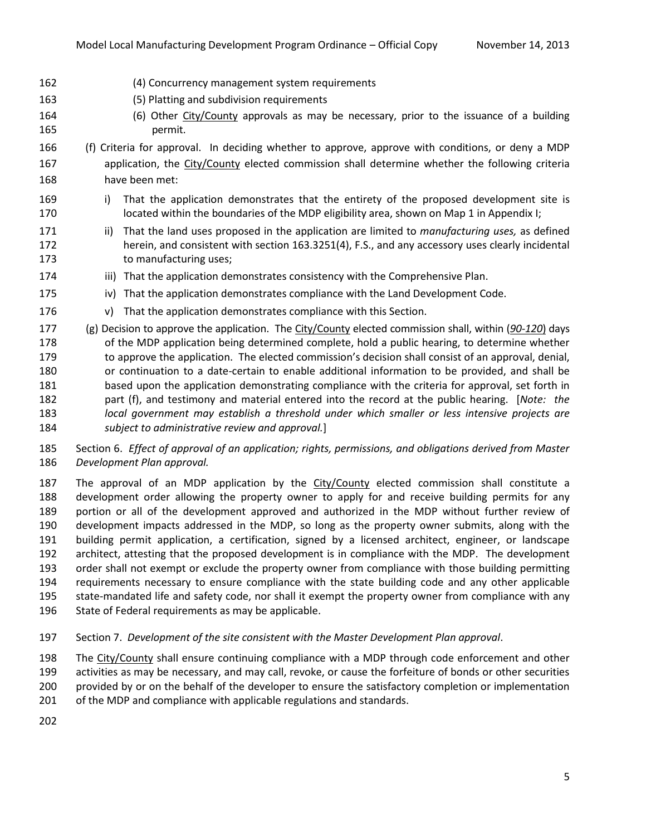- (4) Concurrency management system requirements
- (5) Platting and subdivision requirements
- 164 (6) Other City/County approvals as may be necessary, prior to the issuance of a building permit.
- (f) Criteria for approval. In deciding whether to approve, approve with conditions, or deny a MDP application, the City/County elected commission shall determine whether the following criteria have been met:
- 169 i) That the application demonstrates that the entirety of the proposed development site is 170 located within the boundaries of the MDP eligibility area, shown on Map 1 in Appendix I;
- ii) That the land uses proposed in the application are limited to *manufacturing uses,* as defined herein, and consistent with section 163.3251(4), F.S., and any accessory uses clearly incidental to manufacturing uses;
- 174 iii) That the application demonstrates consistency with the Comprehensive Plan.
- iv) That the application demonstrates compliance with the Land Development Code.
- v) That the application demonstrates compliance with this Section.
- (g) Decision to approve the application. The City/County elected commission shall, within (*90-120*) days 178 of the MDP application being determined complete, hold a public hearing, to determine whether 179 to approve the application. The elected commission's decision shall consist of an approval, denial, or continuation to a date-certain to enable additional information to be provided, and shall be based upon the application demonstrating compliance with the criteria for approval, set forth in part (f), and testimony and material entered into the record at the public hearing. [*Note: the local government may establish a threshold under which smaller or less intensive projects are subject to administrative review and approval.*]
- Section 6. *Effect of approval of an application; rights, permissions, and obligations derived from Master Development Plan approval.*

 The approval of an MDP application by the City/County elected commission shall constitute a development order allowing the property owner to apply for and receive building permits for any portion or all of the development approved and authorized in the MDP without further review of development impacts addressed in the MDP, so long as the property owner submits, along with the building permit application, a certification, signed by a licensed architect, engineer, or landscape architect, attesting that the proposed development is in compliance with the MDP. The development order shall not exempt or exclude the property owner from compliance with those building permitting requirements necessary to ensure compliance with the state building code and any other applicable state-mandated life and safety code, nor shall it exempt the property owner from compliance with any State of Federal requirements as may be applicable.

Section 7. *Development of the site consistent with the Master Development Plan approval*.

The City/County shall ensure continuing compliance with a MDP through code enforcement and other

activities as may be necessary, and may call, revoke, or cause the forfeiture of bonds or other securities

provided by or on the behalf of the developer to ensure the satisfactory completion or implementation

- of the MDP and compliance with applicable regulations and standards.
-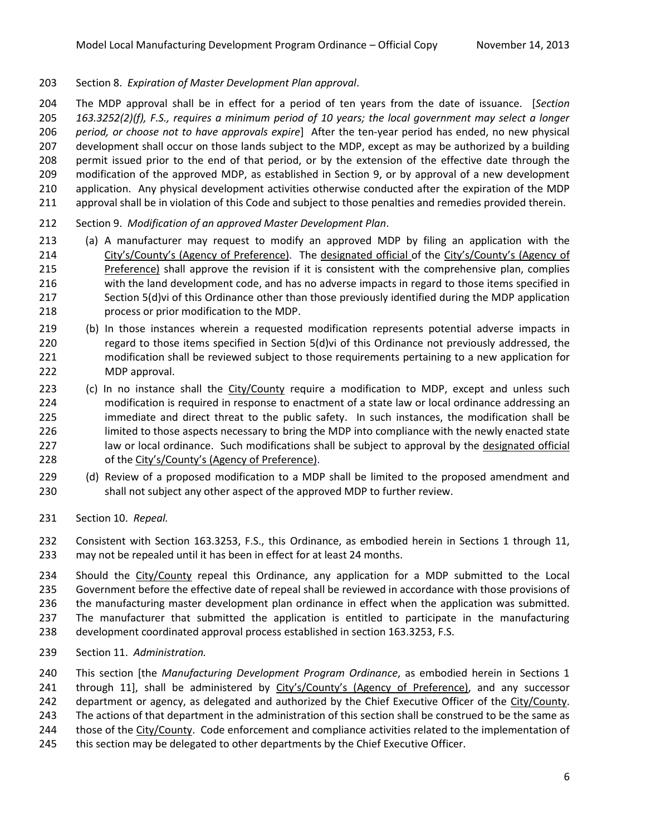Section 8. *Expiration of Master Development Plan approval*.

 The MDP approval shall be in effect for a period of ten years from the date of issuance. [*Section 163.3252(2)(f), F.S., requires a minimum period of 10 years; the local government may select a longer period, or choose not to have approvals expire*] After the ten-year period has ended, no new physical development shall occur on those lands subject to the MDP, except as may be authorized by a building permit issued prior to the end of that period, or by the extension of the effective date through the modification of the approved MDP, as established in Section 9, or by approval of a new development application. Any physical development activities otherwise conducted after the expiration of the MDP approval shall be in violation of this Code and subject to those penalties and remedies provided therein.

- Section 9. *Modification of an approved Master Development Plan*.
- (a) A manufacturer may request to modify an approved MDP by filing an application with the 214 City's/County's (Agency of Preference). The designated official of the City's/County's (Agency of Preference) shall approve the revision if it is consistent with the comprehensive plan, complies with the land development code, and has no adverse impacts in regard to those items specified in Section 5(d)vi of this Ordinance other than those previously identified during the MDP application process or prior modification to the MDP.
- (b) In those instances wherein a requested modification represents potential adverse impacts in 220 regard to those items specified in Section 5(d)vi of this Ordinance not previously addressed, the modification shall be reviewed subject to those requirements pertaining to a new application for MDP approval.
- 223 (c) In no instance shall the City/County require a modification to MDP, except and unless such modification is required in response to enactment of a state law or local ordinance addressing an immediate and direct threat to the public safety. In such instances, the modification shall be limited to those aspects necessary to bring the MDP into compliance with the newly enacted state 227 law or local ordinance. Such modifications shall be subject to approval by the designated official of the City's/County's (Agency of Preference).
- (d) Review of a proposed modification to a MDP shall be limited to the proposed amendment and shall not subject any other aspect of the approved MDP to further review.
- Section 10. *Repeal.*

 Consistent with Section 163.3253, F.S., this Ordinance, as embodied herein in Sections 1 through 11, may not be repealed until it has been in effect for at least 24 months.

 Should the City/County repeal this Ordinance, any application for a MDP submitted to the Local Government before the effective date of repeal shall be reviewed in accordance with those provisions of the manufacturing master development plan ordinance in effect when the application was submitted. The manufacturer that submitted the application is entitled to participate in the manufacturing development coordinated approval process established in section 163.3253, F.S.

Section 11. *Administration.*

 This section [the *Manufacturing Development Program Ordinance*, as embodied herein in Sections 1 through 11], shall be administered by City's/County's (Agency of Preference), and any successor

242 department or agency, as delegated and authorized by the Chief Executive Officer of the City/County.

The actions of that department in the administration of this section shall be construed to be the same as

- those of the City/County. Code enforcement and compliance activities related to the implementation of
- this section may be delegated to other departments by the Chief Executive Officer.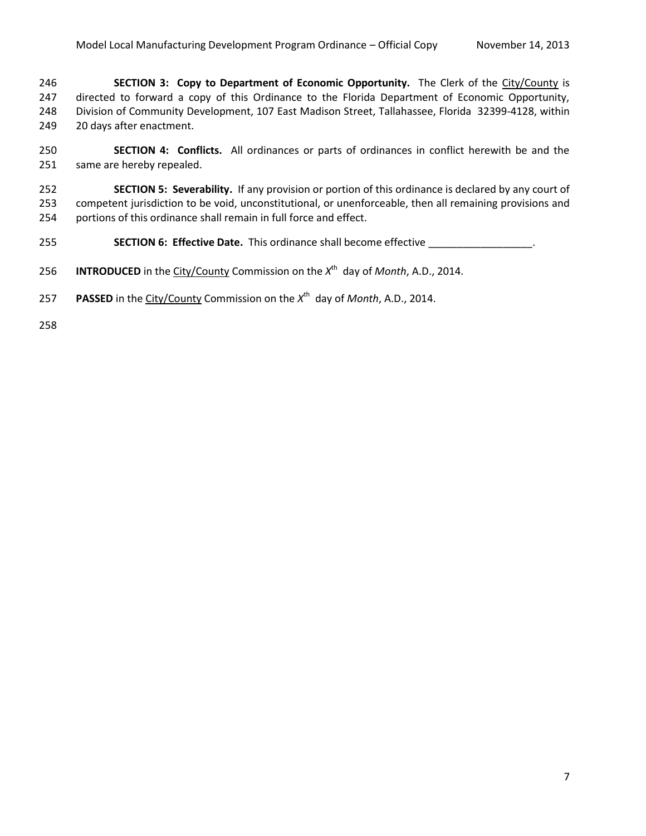**SECTION 3: Copy to Department of Economic Opportunity.** The Clerk of the City/County is directed to forward a copy of this Ordinance to the Florida Department of Economic Opportunity, Division of Community Development, 107 East Madison Street, Tallahassee, Florida 32399-4128, within 20 days after enactment.

 **SECTION 4: Conflicts.** All ordinances or parts of ordinances in conflict herewith be and the same are hereby repealed.

 **SECTION 5: Severability.** If any provision or portion of this ordinance is declared by any court of competent jurisdiction to be void, unconstitutional, or unenforceable, then all remaining provisions and portions of this ordinance shall remain in full force and effect.

**SECTION 6: Effective Date.** This ordinance shall become effective \_\_\_\_\_\_\_\_\_\_\_\_\_\_\_\_.

256 **INTRODUCED** in the City/County Commission on the  $X^{th}$  day of *Month*, A.D., 2014.

257 PASSED in the City/County Commission on the X<sup>th</sup> day of *Month*, A.D., 2014.